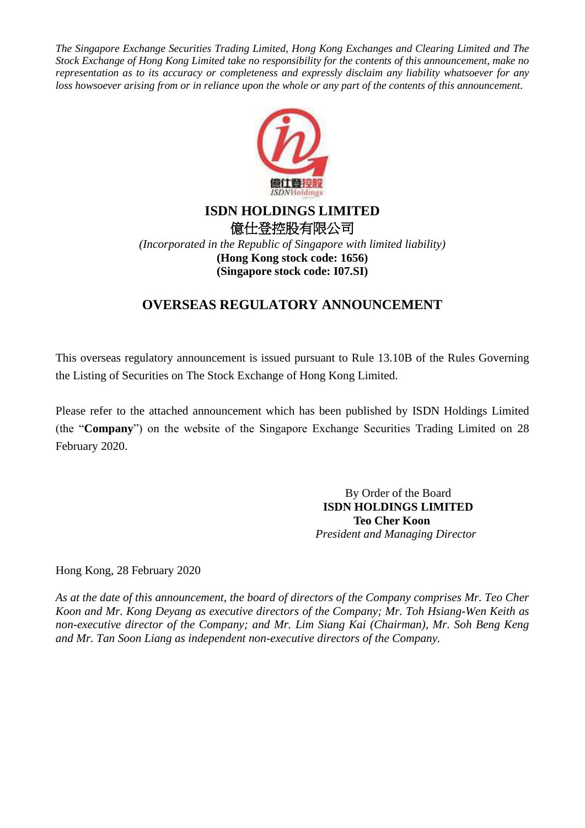*The Singapore Exchange Securities Trading Limited, Hong Kong Exchanges and Clearing Limited and The Stock Exchange of Hong Kong Limited take no responsibility for the contents of this announcement, make no representation as to its accuracy or completeness and expressly disclaim any liability whatsoever for any loss howsoever arising from or in reliance upon the whole or any part of the contents of this announcement.*



## **ISDN HOLDINGS LIMITED** 億仕登控股有限公司

*(Incorporated in the Republic of Singapore with limited liability)* **(Hong Kong stock code: 1656) (Singapore stock code: I07.SI)**

# **OVERSEAS REGULATORY ANNOUNCEMENT**

This overseas regulatory announcement is issued pursuant to Rule 13.10B of the Rules Governing the Listing of Securities on The Stock Exchange of Hong Kong Limited.

Please refer to the attached announcement which has been published by ISDN Holdings Limited (the "**Company**") on the website of the Singapore Exchange Securities Trading Limited on 28 February 2020.

> By Order of the Board **ISDN HOLDINGS LIMITED Teo Cher Koon** *President and Managing Director*

Hong Kong, 28 February 2020

*As at the date of this announcement, the board of directors of the Company comprises Mr. Teo Cher Koon and Mr. Kong Deyang as executive directors of the Company; Mr. Toh Hsiang-Wen Keith as non-executive director of the Company; and Mr. Lim Siang Kai (Chairman), Mr. Soh Beng Keng and Mr. Tan Soon Liang as independent non-executive directors of the Company.*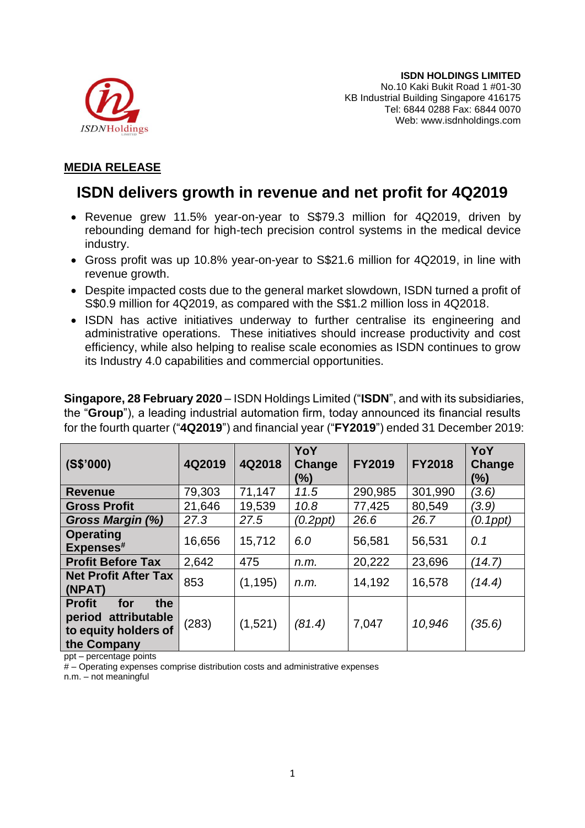

### **MEDIA RELEASE**

# **ISDN delivers growth in revenue and net profit for 4Q2019**

- Revenue grew 11.5% year-on-year to S\$79.3 million for 4Q2019, driven by rebounding demand for high-tech precision control systems in the medical device industry.
- Gross profit was up 10.8% year-on-year to S\$21.6 million for 4Q2019, in line with revenue growth.
- Despite impacted costs due to the general market slowdown, ISDN turned a profit of S\$0.9 million for 4Q2019, as compared with the S\$1.2 million loss in 4Q2018.
- ISDN has active initiatives underway to further centralise its engineering and administrative operations. These initiatives should increase productivity and cost efficiency, while also helping to realise scale economies as ISDN continues to grow its Industry 4.0 capabilities and commercial opportunities.

**Singapore, 28 February 2020** – ISDN Holdings Limited ("**ISDN**", and with its subsidiaries, the "**Group**"), a leading industrial automation firm, today announced its financial results for the fourth quarter ("**4Q2019**") and financial year ("**FY2019**") ended 31 December 2019:

| (S\$'000)                                                                                 | 4Q2019 | 4Q2018   | YoY<br>Change<br>(%) | <b>FY2019</b> | <b>FY2018</b> | YoY<br>Change<br>(%) |
|-------------------------------------------------------------------------------------------|--------|----------|----------------------|---------------|---------------|----------------------|
| <b>Revenue</b>                                                                            | 79,303 | 71,147   | 11.5                 | 290,985       | 301,990       | (3.6)                |
| <b>Gross Profit</b>                                                                       | 21,646 | 19,539   | 10.8                 | 77,425        | 80,549        | (3.9)                |
| Gross Margin (%)                                                                          | 27.3   | 27.5     | $(0.2$ ppt $)$       | 26.6          | 26.7          | (0.1ppt)             |
| <b>Operating</b><br>Expenses#                                                             | 16,656 | 15,712   | 6.0                  | 56,581        | 56,531        | 0.1                  |
| <b>Profit Before Tax</b>                                                                  | 2,642  | 475      | n.m.                 | 20,222        | 23,696        | (14.7)               |
| <b>Net Profit After Tax</b><br>(NPAT)                                                     | 853    | (1, 195) | n.m.                 | 14,192        | 16,578        | (14.4)               |
| <b>Profit</b><br>for<br>the<br>period attributable<br>to equity holders of<br>the Company | (283)  | (1,521)  | (81.4)               | 7,047         | 10,946        | (35.6)               |

ppt – percentage points

# – Operating expenses comprise distribution costs and administrative expenses

n.m. – not meaningful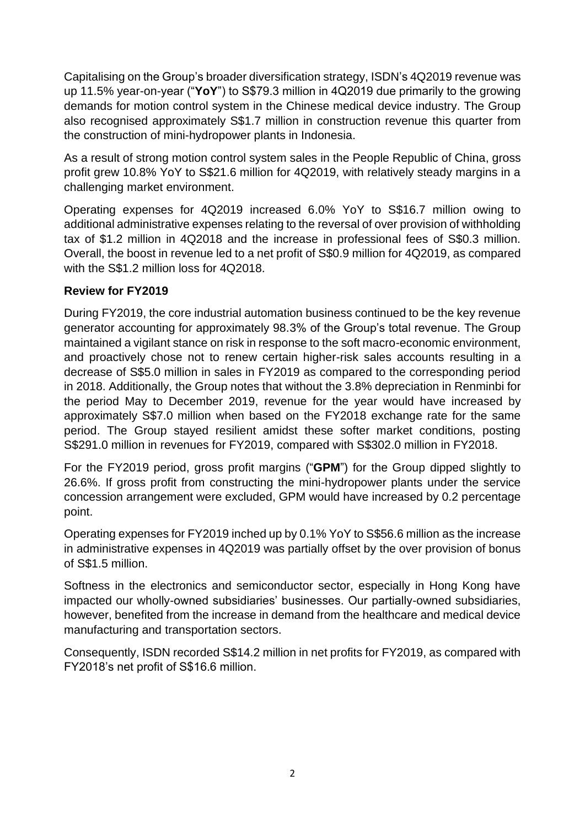Capitalising on the Group's broader diversification strategy, ISDN's 4Q2019 revenue was up 11.5% year-on-year ("**YoY**") to S\$79.3 million in 4Q2019 due primarily to the growing demands for motion control system in the Chinese medical device industry. The Group also recognised approximately S\$1.7 million in construction revenue this quarter from the construction of mini-hydropower plants in Indonesia.

As a result of strong motion control system sales in the People Republic of China, gross profit grew 10.8% YoY to S\$21.6 million for 4Q2019, with relatively steady margins in a challenging market environment.

Operating expenses for 4Q2019 increased 6.0% YoY to S\$16.7 million owing to additional administrative expenses relating to the reversal of over provision of withholding tax of \$1.2 million in 4Q2018 and the increase in professional fees of S\$0.3 million. Overall, the boost in revenue led to a net profit of S\$0.9 million for 4Q2019, as compared with the S\$1.2 million loss for 4Q2018.

## **Review for FY2019**

During FY2019, the core industrial automation business continued to be the key revenue generator accounting for approximately 98.3% of the Group's total revenue. The Group maintained a vigilant stance on risk in response to the soft macro-economic environment, and proactively chose not to renew certain higher-risk sales accounts resulting in a decrease of S\$5.0 million in sales in FY2019 as compared to the corresponding period in 2018. Additionally, the Group notes that without the 3.8% depreciation in Renminbi for the period May to December 2019, revenue for the year would have increased by approximately S\$7.0 million when based on the FY2018 exchange rate for the same period. The Group stayed resilient amidst these softer market conditions, posting S\$291.0 million in revenues for FY2019, compared with S\$302.0 million in FY2018.

For the FY2019 period, gross profit margins ("**GPM**") for the Group dipped slightly to 26.6%. If gross profit from constructing the mini-hydropower plants under the service concession arrangement were excluded, GPM would have increased by 0.2 percentage point.

Operating expenses for FY2019 inched up by 0.1% YoY to S\$56.6 million as the increase in administrative expenses in 4Q2019 was partially offset by the over provision of bonus of S\$1.5 million.

Softness in the electronics and semiconductor sector, especially in Hong Kong have impacted our wholly-owned subsidiaries' businesses. Our partially-owned subsidiaries, however, benefited from the increase in demand from the healthcare and medical device manufacturing and transportation sectors.

Consequently, ISDN recorded S\$14.2 million in net profits for FY2019, as compared with FY2018's net profit of S\$16.6 million.